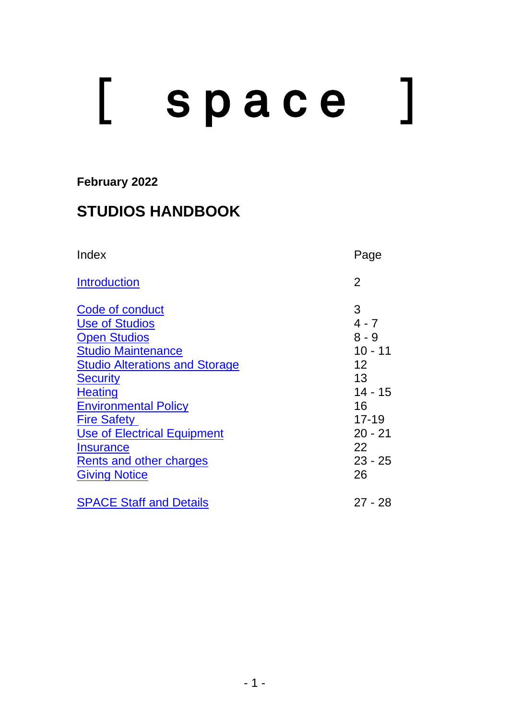# [ space

## **February 2022**

# **STUDIOS HANDBOOK**

<span id="page-0-1"></span><span id="page-0-0"></span>

| Index                                                                                                                                                                                                                                                                                                                                 | Page                                                                                                                                  |
|---------------------------------------------------------------------------------------------------------------------------------------------------------------------------------------------------------------------------------------------------------------------------------------------------------------------------------------|---------------------------------------------------------------------------------------------------------------------------------------|
| <b>Introduction</b>                                                                                                                                                                                                                                                                                                                   | $\overline{2}$                                                                                                                        |
| Code of conduct<br><b>Use of Studios</b><br><b>Open Studios</b><br><b>Studio Maintenance</b><br><b>Studio Alterations and Storage</b><br><b>Security</b><br><b>Heating</b><br><b>Environmental Policy</b><br><b>Fire Safety</b><br>Use of Electrical Equipment<br><b>Insurance</b><br>Rents and other charges<br><b>Giving Notice</b> | 3<br>$4 - 7$<br>$8 - 9$<br>$10 - 11$<br>$12 \overline{ }$<br>13<br>$14 - 15$<br>16<br>$17 - 19$<br>$20 - 21$<br>22<br>$23 - 25$<br>26 |
| <b>SPACE Staff and Details</b>                                                                                                                                                                                                                                                                                                        | $27 - 28$                                                                                                                             |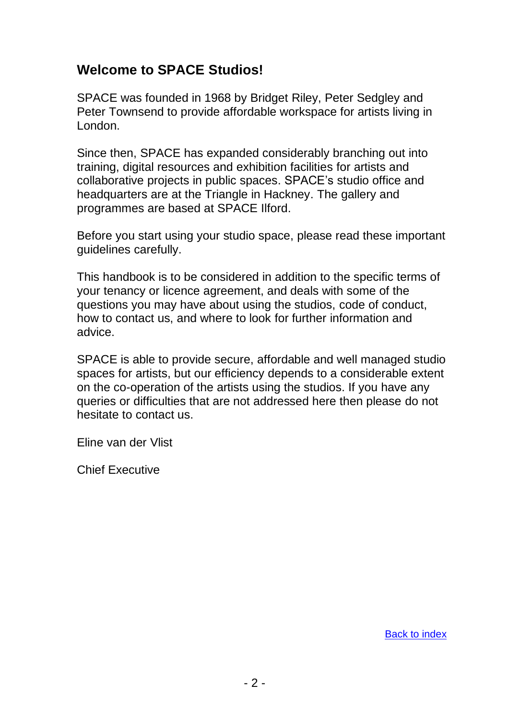## **Welcome to SPACE Studios!**

SPACE was founded in 1968 by Bridget Riley, Peter Sedgley and Peter Townsend to provide affordable workspace for artists living in London.

Since then, SPACE has expanded considerably branching out into training, digital resources and exhibition facilities for artists and collaborative projects in public spaces. SPACE's studio office and headquarters are at the Triangle in Hackney. The gallery and programmes are based at SPACE Ilford.

Before you start using your studio space, please read these important guidelines carefully.

This handbook is to be considered in addition to the specific terms of your tenancy or licence agreement, and deals with some of the questions you may have about using the studios, code of conduct, how to contact us, and where to look for further information and advice.

SPACE is able to provide secure, affordable and well managed studio spaces for artists, but our efficiency depends to a considerable extent on the co-operation of the artists using the studios. If you have any queries or difficulties that are not addressed here then please do not hesitate to contact us.

Eline van der Vlist

Chief Executive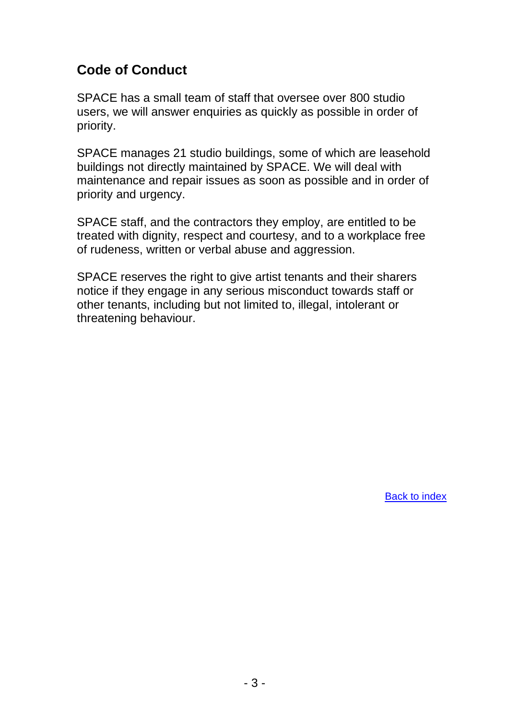## <span id="page-2-0"></span>**Code of Conduct**

SPACE has a small team of staff that oversee over 800 studio users, we will answer enquiries as quickly as possible in order of priority.

SPACE manages 21 studio buildings, some of which are leasehold buildings not directly maintained by SPACE. We will deal with maintenance and repair issues as soon as possible and in order of priority and urgency.

SPACE staff, and the contractors they employ, are entitled to be treated with dignity, respect and courtesy, and to a workplace free of rudeness, written or verbal abuse and aggression.

SPACE reserves the right to give artist tenants and their sharers notice if they engage in any serious misconduct towards staff or other tenants, including but not limited to, illegal, intolerant or threatening behaviour.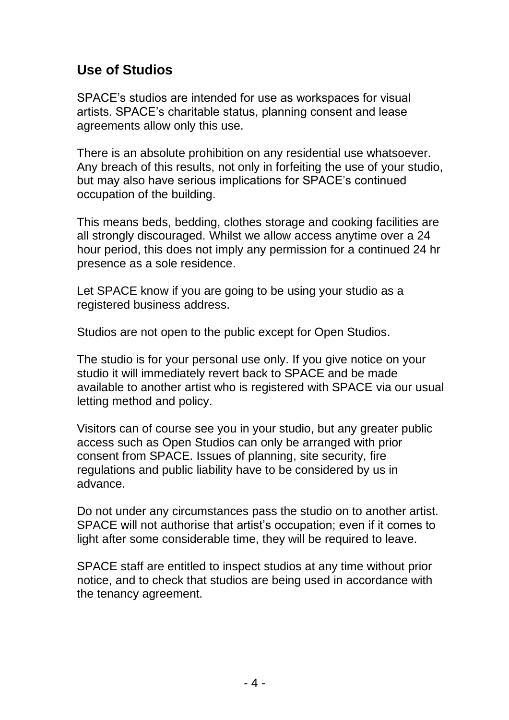## <span id="page-3-0"></span>**Use of Studios**

SPACE's studios are intended for use as workspaces for visual artists. SPACE's charitable status, planning consent and lease agreements allow only this use.

There is an absolute prohibition on any residential use whatsoever. Any breach of this results, not only in forfeiting the use of your studio, but may also have serious implications for SPACE's continued occupation of the building.

This means beds, bedding, clothes storage and cooking facilities are all strongly discouraged. Whilst we allow access anytime over a 24 hour period, this does not imply any permission for a continued 24 hr presence as a sole residence.

Let SPACE know if you are going to be using your studio as a registered business address.

Studios are not open to the public except for Open Studios.

The studio is for your personal use only. If you give notice on your studio it will immediately revert back to SPACE and be made available to another artist who is registered with SPACE via our usual letting method and policy.

Visitors can of course see you in your studio, but any greater public access such as Open Studios can only be arranged with prior consent from SPACE. Issues of planning, site security, fire regulations and public liability have to be considered by us in advance.

Do not under any circumstances pass the studio on to another artist. SPACE will not authorise that artist's occupation; even if it comes to light after some considerable time, they will be required to leave.

SPACE staff are entitled to inspect studios at any time without prior notice, and to check that studios are being used in accordance with the tenancy agreement.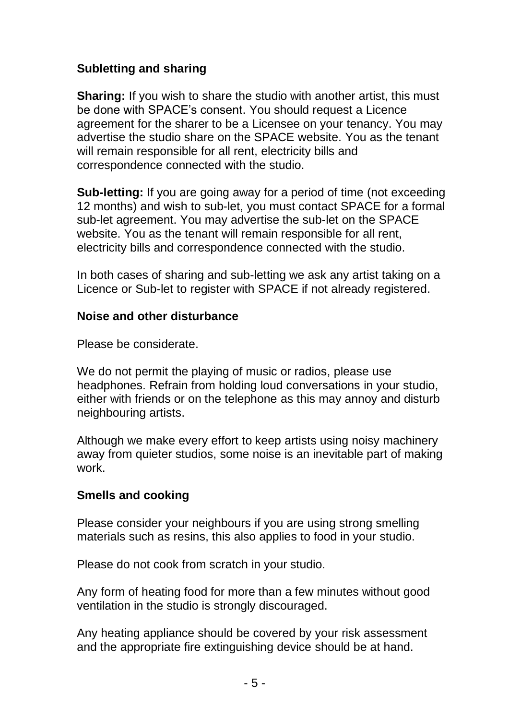## **Subletting and sharing**

**Sharing:** If you wish to share the studio with another artist, this must be done with SPACE's consent. You should request a Licence agreement for the sharer to be a Licensee on your tenancy. You may advertise the studio share on the SPACE website. You as the tenant will remain responsible for all rent, electricity bills and correspondence connected with the studio.

**Sub-letting:** If you are going away for a period of time (not exceeding 12 months) and wish to sub-let, you must contact SPACE for a formal sub-let agreement. You may advertise the sub-let on the SPACE website. You as the tenant will remain responsible for all rent, electricity bills and correspondence connected with the studio.

In both cases of sharing and sub-letting we ask any artist taking on a Licence or Sub-let to register with SPACE if not already registered.

#### **Noise and other disturbance**

Please be considerate.

We do not permit the playing of music or radios, please use headphones. Refrain from holding loud conversations in your studio, either with friends or on the telephone as this may annoy and disturb neighbouring artists.

Although we make every effort to keep artists using noisy machinery away from quieter studios, some noise is an inevitable part of making work.

## **Smells and cooking**

Please consider your neighbours if you are using strong smelling materials such as resins, this also applies to food in your studio.

Please do not cook from scratch in your studio.

Any form of heating food for more than a few minutes without good ventilation in the studio is strongly discouraged.

Any heating appliance should be covered by your risk assessment and the appropriate fire extinguishing device should be at hand.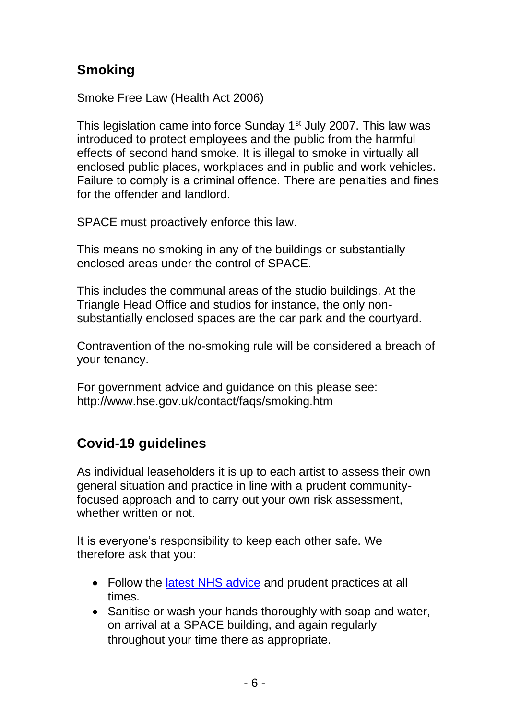# **Smoking**

Smoke Free Law (Health Act 2006)

This legislation came into force Sunday 1<sup>st</sup> July 2007. This law was introduced to protect employees and the public from the harmful effects of second hand smoke. It is illegal to smoke in virtually all enclosed public places, workplaces and in public and work vehicles. Failure to comply is a criminal offence. There are penalties and fines for the offender and landlord.

SPACE must proactively enforce this law.

This means no smoking in any of the buildings or substantially enclosed areas under the control of SPACE.

This includes the communal areas of the studio buildings. At the Triangle Head Office and studios for instance, the only nonsubstantially enclosed spaces are the car park and the courtyard.

Contravention of the no-smoking rule will be considered a breach of your tenancy.

For government advice and guidance on this please see: <http://www.hse.gov.uk/contact/faqs/smoking.htm>

# **Covid-19 guidelines**

As individual leaseholders it is up to each artist to assess their own general situation and practice in line with a prudent communityfocused approach and to carry out your own risk assessment, whether written or not.

It is everyone's responsibility to keep each other safe. We therefore ask that you:

- Follow the [latest NHS advice](https://www.nhs.uk/conditions/coronavirus-covid-19/) and prudent practices at all times.
- Sanitise or wash your hands thoroughly with soap and water, on arrival at a SPACE building, and again regularly throughout your time there as appropriate.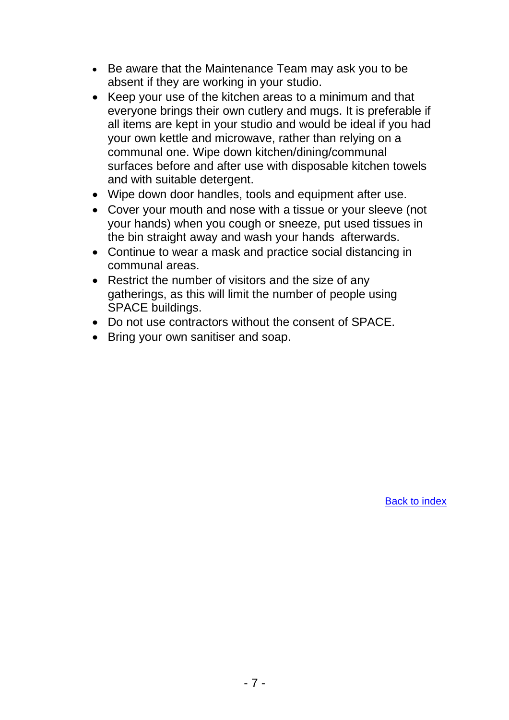- Be aware that the Maintenance Team may ask you to be absent if they are working in your studio.
- Keep your use of the kitchen areas to a minimum and that everyone brings their own cutlery and mugs. It is preferable if all items are kept in your studio and would be ideal if you had your own kettle and microwave, rather than relying on a communal one. Wipe down kitchen/dining/communal surfaces before and after use with disposable kitchen towels and with suitable detergent.
- Wipe down door handles, tools and equipment after use.
- Cover your mouth and nose with a tissue or your sleeve (not your hands) when you cough or sneeze, put used tissues in the bin straight away and wash your hands afterwards.
- Continue to wear a mask and practice social distancing in communal areas.
- Restrict the number of visitors and the size of any gatherings, as this will limit the number of people using SPACE buildings.
- Do not use contractors without the consent of SPACE.
- Bring your own sanitiser and soap.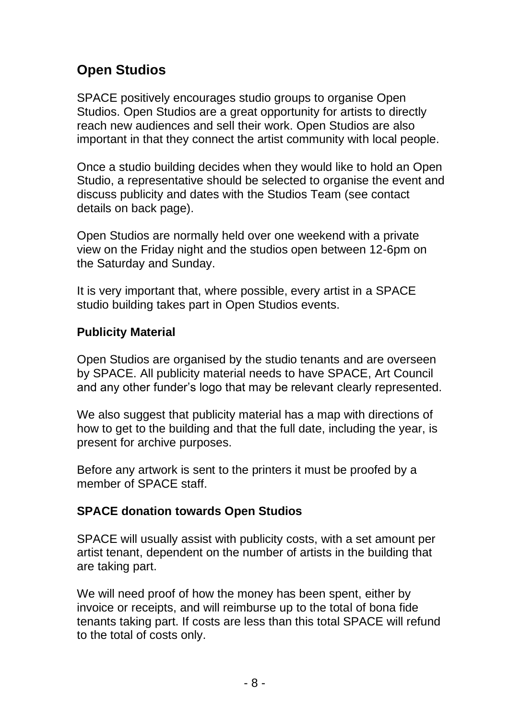# <span id="page-7-0"></span>**Open Studios**

SPACE positively encourages studio groups to organise Open Studios. Open Studios are a great opportunity for artists to directly reach new audiences and sell their work. Open Studios are also important in that they connect the artist community with local people.

Once a studio building decides when they would like to hold an Open Studio, a representative should be selected to organise the event and discuss publicity and dates with the Studios Team (see contact details on back page).

Open Studios are normally held over one weekend with a private view on the Friday night and the studios open between 12-6pm on the Saturday and Sunday.

It is very important that, where possible, every artist in a SPACE studio building takes part in Open Studios events.

#### **Publicity Material**

Open Studios are organised by the studio tenants and are overseen by SPACE. All publicity material needs to have SPACE, Art Council and any other funder's logo that may be relevant clearly represented.

We also suggest that publicity material has a map with directions of how to get to the building and that the full date, including the year, is present for archive purposes.

Before any artwork is sent to the printers it must be proofed by a member of SPACE staff.

#### **SPACE donation towards Open Studios**

SPACE will usually assist with publicity costs, with a set amount per artist tenant, dependent on the number of artists in the building that are taking part.

We will need proof of how the money has been spent, either by invoice or receipts, and will reimburse up to the total of bona fide tenants taking part. If costs are less than this total SPACE will refund to the total of costs only.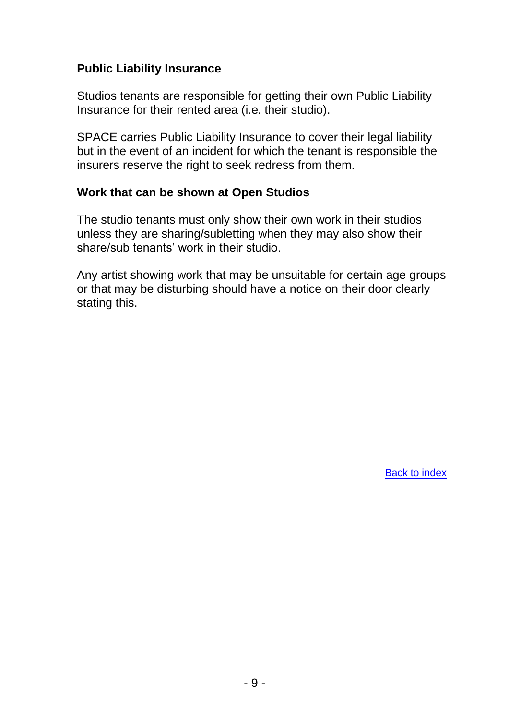#### **Public Liability Insurance**

Studios tenants are responsible for getting their own Public Liability Insurance for their rented area (i.e. their studio).

SPACE carries Public Liability Insurance to cover their legal liability but in the event of an incident for which the tenant is responsible the insurers reserve the right to seek redress from them.

#### **Work that can be shown at Open Studios**

The studio tenants must only show their own work in their studios unless they are sharing/subletting when they may also show their share/sub tenants' work in their studio.

Any artist showing work that may be unsuitable for certain age groups or that may be disturbing should have a notice on their door clearly stating this.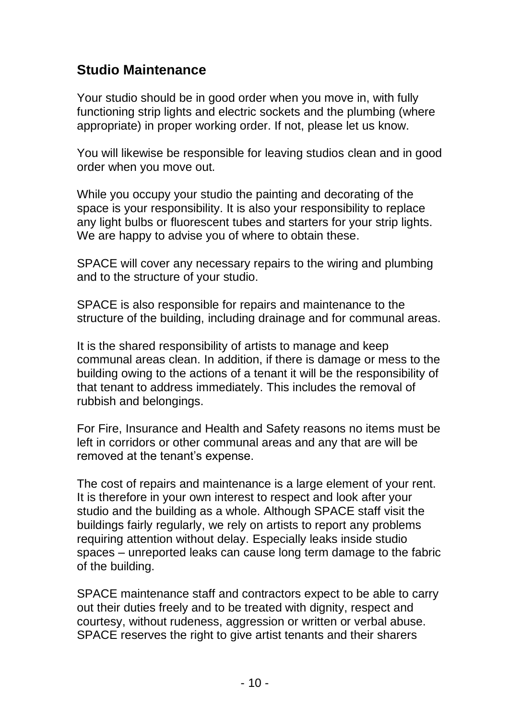## <span id="page-9-0"></span>**Studio Maintenance**

Your studio should be in good order when you move in, with fully functioning strip lights and electric sockets and the plumbing (where appropriate) in proper working order. If not, please let us know.

You will likewise be responsible for leaving studios clean and in good order when you move out.

While you occupy your studio the painting and decorating of the space is your responsibility. It is also your responsibility to replace any light bulbs or fluorescent tubes and starters for your strip lights. We are happy to advise you of where to obtain these.

SPACE will cover any necessary repairs to the wiring and plumbing and to the structure of your studio.

SPACE is also responsible for repairs and maintenance to the structure of the building, including drainage and for communal areas.

It is the shared responsibility of artists to manage and keep communal areas clean. In addition, if there is damage or mess to the building owing to the actions of a tenant it will be the responsibility of that tenant to address immediately. This includes the removal of rubbish and belongings.

For Fire, Insurance and Health and Safety reasons no items must be left in corridors or other communal areas and any that are will be removed at the tenant's expense.

The cost of repairs and maintenance is a large element of your rent. It is therefore in your own interest to respect and look after your studio and the building as a whole. Although SPACE staff visit the buildings fairly regularly, we rely on artists to report any problems requiring attention without delay. Especially leaks inside studio spaces – unreported leaks can cause long term damage to the fabric of the building.

SPACE maintenance staff and contractors expect to be able to carry out their duties freely and to be treated with dignity, respect and courtesy, without rudeness, aggression or written or verbal abuse. SPACE reserves the right to give artist tenants and their sharers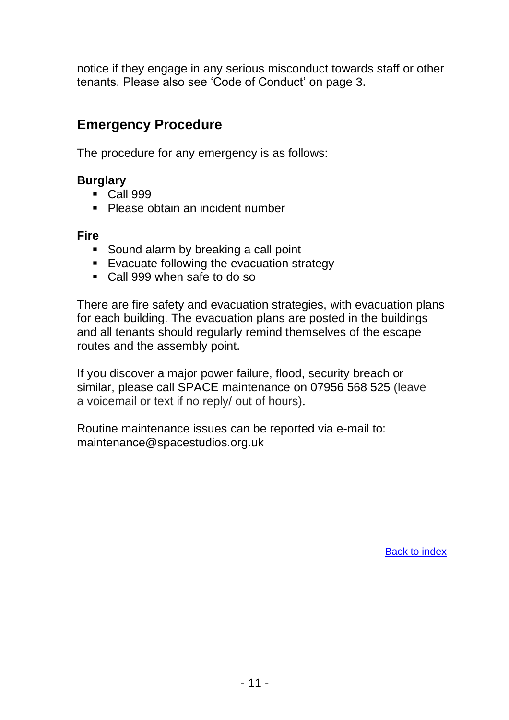notice if they engage in any serious misconduct towards staff or other tenants. Please also see 'Code of Conduct' on page 3.

## **Emergency Procedure**

The procedure for any emergency is as follows:

#### **Burglary**

- **Call 999**
- Please obtain an incident number

#### **Fire**

- Sound alarm by breaking a call point
- Evacuate following the evacuation strategy
- Call 999 when safe to do so

There are fire safety and evacuation strategies, with evacuation plans for each building. The evacuation plans are posted in the buildings and all tenants should regularly remind themselves of the escape routes and the assembly point.

If you discover a major power failure, flood, security breach or similar, please call SPACE maintenance on 07956 568 525 (leave a voicemail or text if no reply/ out of hours).

Routine maintenance issues can be reported via e-mail to: [maintenance@spacestudios.org.uk](mailto:maintenance@spacestudios.org.uk)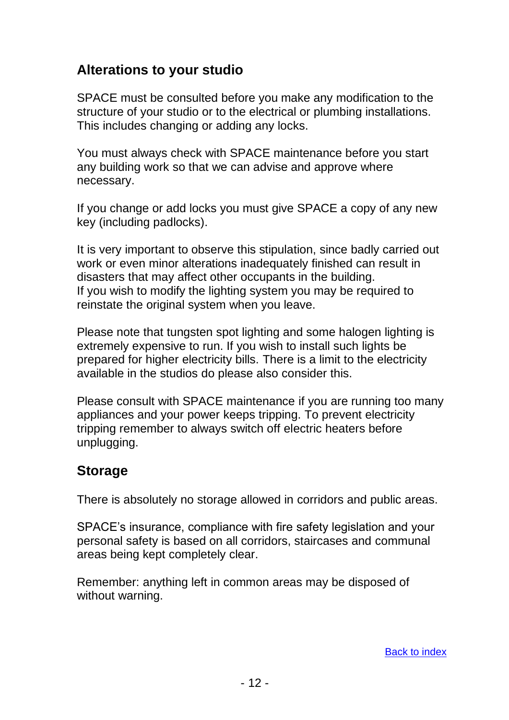## <span id="page-11-0"></span>**Alterations to your studio**

SPACE must be consulted before you make any modification to the structure of your studio or to the electrical or plumbing installations. This includes changing or adding any locks.

You must always check with SPACE maintenance before you start any building work so that we can advise and approve where necessary.

If you change or add locks you must give SPACE a copy of any new key (including padlocks).

It is very important to observe this stipulation, since badly carried out work or even minor alterations inadequately finished can result in disasters that may affect other occupants in the building. If you wish to modify the lighting system you may be required to reinstate the original system when you leave.

Please note that tungsten spot lighting and some halogen lighting is extremely expensive to run. If you wish to install such lights be prepared for higher electricity bills. There is a limit to the electricity available in the studios do please also consider this.

Please consult with SPACE maintenance if you are running too many appliances and your power keeps tripping. To prevent electricity tripping remember to always switch off electric heaters before unplugging.

## **Storage**

There is absolutely no storage allowed in corridors and public areas.

SPACE's insurance, compliance with fire safety legislation and your personal safety is based on all corridors, staircases and communal areas being kept completely clear.

Remember: anything left in common areas may be disposed of without warning.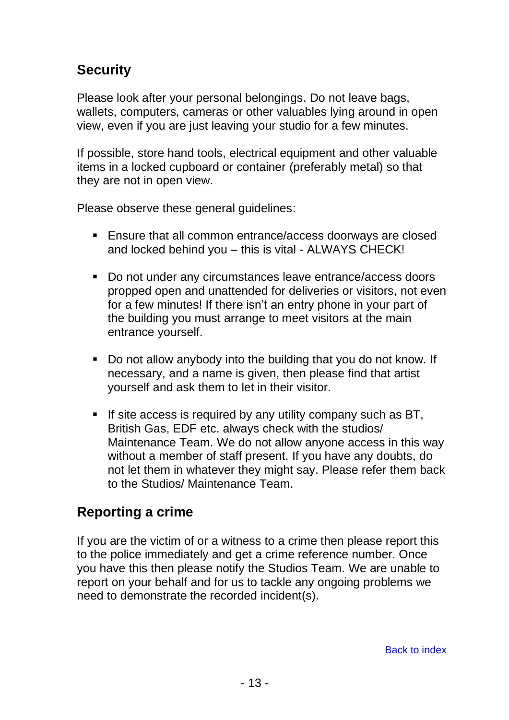# <span id="page-12-0"></span>**Security**

Please look after your personal belongings. Do not leave bags, wallets, computers, cameras or other valuables lying around in open view, even if you are just leaving your studio for a few minutes.

If possible, store hand tools, electrical equipment and other valuable items in a locked cupboard or container (preferably metal) so that they are not in open view.

Please observe these general guidelines:

- Ensure that all common entrance/access doorways are closed and locked behind you – this is vital - ALWAYS CHECK!
- Do not under any circumstances leave entrance/access doors propped open and unattended for deliveries or visitors, not even for a few minutes! If there isn't an entry phone in your part of the building you must arrange to meet visitors at the main entrance yourself.
- Do not allow anybody into the building that you do not know. If necessary, and a name is given, then please find that artist yourself and ask them to let in their visitor.
- If site access is required by any utility company such as BT, British Gas, EDF etc. always check with the studios/ Maintenance Team. We do not allow anyone access in this way without a member of staff present. If you have any doubts, do not let them in whatever they might say. Please refer them back to the Studios/ Maintenance Team.

# **Reporting a crime**

If you are the victim of or a witness to a crime then please report this to the police immediately and get a crime reference number. Once you have this then please notify the Studios Team. We are unable to report on your behalf and for us to tackle any ongoing problems we need to demonstrate the recorded incident(s).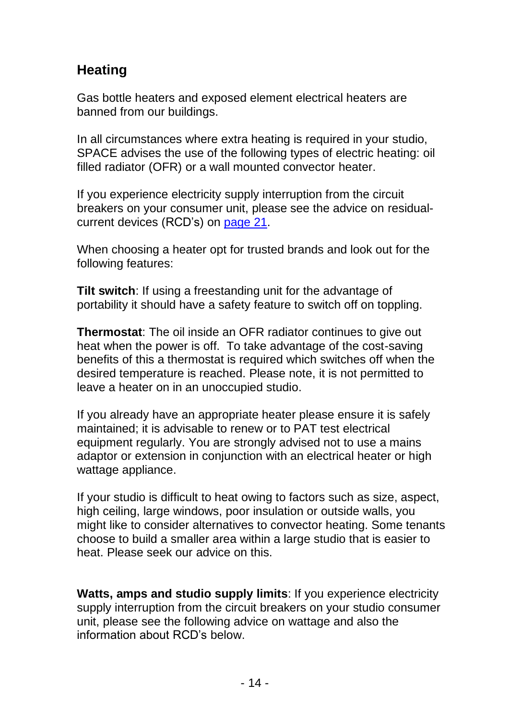# <span id="page-13-0"></span>**Heating**

Gas bottle heaters and exposed element electrical heaters are banned from our buildings.

In all circumstances where extra heating is required in your studio, SPACE advises the use of the following types of electric heating: oil filled radiator (OFR) or a wall mounted convector heater.

If you experience electricity supply interruption from the circuit breakers on your consumer unit, please see the advice on residualcurrent devices (RCD's) on [page 21.](#page-20-0)

When choosing a heater opt for trusted brands and look out for the following features:

**Tilt switch**: If using a freestanding unit for the advantage of portability it should have a safety feature to switch off on toppling.

**Thermostat**: The oil inside an OFR radiator continues to give out heat when the power is off. To take advantage of the cost-saving benefits of this a thermostat is required which switches off when the desired temperature is reached. Please note, it is not permitted to leave a heater on in an unoccupied studio.

If you already have an appropriate heater please ensure it is safely maintained; it is advisable to renew or to PAT test electrical equipment regularly. You are strongly advised not to use a mains adaptor or extension in conjunction with an electrical heater or high wattage appliance.

If your studio is difficult to heat owing to factors such as size, aspect, high ceiling, large windows, poor insulation or outside walls, you might like to consider alternatives to convector heating. Some tenants choose to build a smaller area within a large studio that is easier to heat. Please seek our advice on this.

**Watts, amps and studio supply limits**: If you experience electricity supply interruption from the circuit breakers on your studio consumer unit, please see the following advice on wattage and also the information about RCD's below.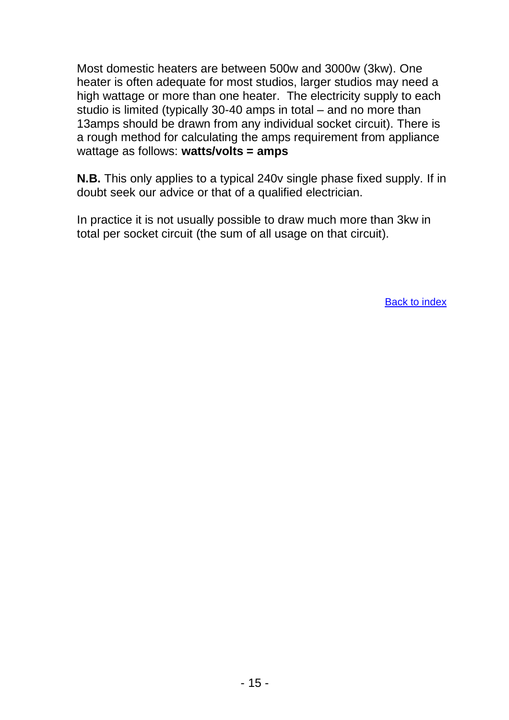Most domestic heaters are between 500w and 3000w (3kw). One heater is often adequate for most studios, larger studios may need a high wattage or more than one heater. The electricity supply to each studio is limited (typically 30-40 amps in total – and no more than 13amps should be drawn from any individual socket circuit). There is a rough method for calculating the amps requirement from appliance wattage as follows: **watts/volts = amps**

**N.B.** This only applies to a typical 240v single phase fixed supply. If in doubt seek our advice or that of a qualified electrician.

In practice it is not usually possible to draw much more than 3kw in total per socket circuit (the sum of all usage on that circuit).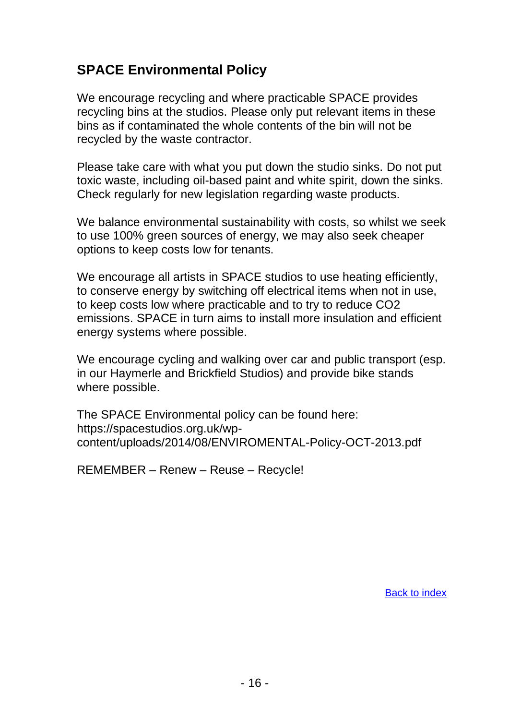## <span id="page-15-0"></span>**SPACE Environmental Policy**

We encourage recycling and where practicable SPACE provides recycling bins at the studios. Please only put relevant items in these bins as if contaminated the whole contents of the bin will not be recycled by the waste contractor.

Please take care with what you put down the studio sinks. Do not put toxic waste, including oil-based paint and white spirit, down the sinks. Check regularly for new legislation regarding waste products.

We balance environmental sustainability with costs, so whilst we seek to use 100% green sources of energy, we may also seek cheaper options to keep costs low for tenants.

We encourage all artists in SPACE studios to use heating efficiently, to conserve energy by switching off electrical items when not in use, to keep costs low where practicable and to try to reduce CO2 emissions. SPACE in turn aims to install more insulation and efficient energy systems where possible.

We encourage cycling and walking over car and public transport (esp. in our Haymerle and Brickfield Studios) and provide bike stands where possible.

The SPACE Environmental policy can be found here: [https://spacestudios.org.uk/wp](https://spacestudios.org.uk/wp-content/uploads/2014/08/ENVIROMENTAL-Policy-OCT-2013.pdf)[content/uploads/2014/08/ENVIROMENTAL-Policy-OCT-2013.pdf](https://spacestudios.org.uk/wp-content/uploads/2014/08/ENVIROMENTAL-Policy-OCT-2013.pdf)

REMEMBER – Renew – Reuse – Recycle!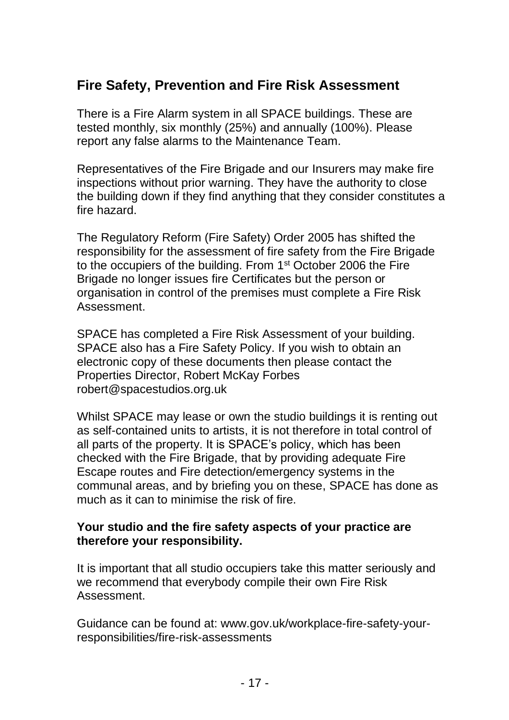# <span id="page-16-0"></span>**Fire Safety, Prevention and Fire Risk Assessment**

There is a Fire Alarm system in all SPACE buildings. These are tested monthly, six monthly (25%) and annually (100%). Please report any false alarms to the Maintenance Team.

Representatives of the Fire Brigade and our Insurers may make fire inspections without prior warning. They have the authority to close the building down if they find anything that they consider constitutes a fire hazard.

The Regulatory Reform (Fire Safety) Order 2005 has shifted the responsibility for the assessment of fire safety from the Fire Brigade to the occupiers of the building. From 1st October 2006 the Fire Brigade no longer issues fire Certificates but the person or organisation in control of the premises must complete a Fire Risk Assessment.

SPACE has completed a Fire Risk Assessment of your building. SPACE also has a Fire Safety Policy. If you wish to obtain an electronic copy of these documents then please contact the Properties Director, Robert McKay Forbes [robert@spacestudios.org.uk](mailto:robert@spacestudios.org.uk?subject=I%20wish%20to%20obtain%20an%20electronic%20copy%20of%20Fire%20Risk%20Assessment%20for%20my%20building%20and%20the%20SPACE%20Fire%20Safety%20Policy)

Whilst SPACE may lease or own the studio buildings it is renting out as self-contained units to artists, it is not therefore in total control of all parts of the property. It is SPACE's policy, which has been checked with the Fire Brigade, that by providing adequate Fire Escape routes and Fire detection/emergency systems in the communal areas, and by briefing you on these, SPACE has done as much as it can to minimise the risk of fire.

#### **Your studio and the fire safety aspects of your practice are therefore your responsibility.**

It is important that all studio occupiers take this matter seriously and we recommend that everybody compile their own Fire Risk Assessment.

Guidance can be found at: [www.gov.uk/workplace-fire-safety-your](http://www.gov.uk/workplace-fire-safety-your-responsibilities/fire-risk-assessments)[responsibilities/fire-risk-assessments](http://www.gov.uk/workplace-fire-safety-your-responsibilities/fire-risk-assessments)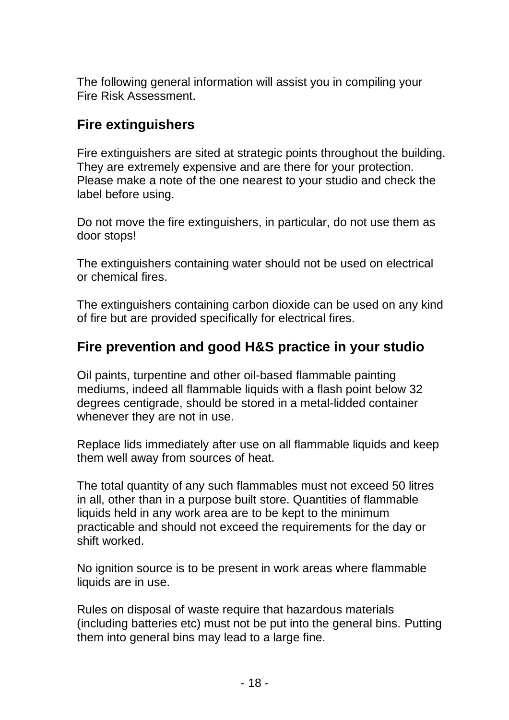The following general information will assist you in compiling your Fire Risk Assessment.

# **Fire extinguishers**

Fire extinguishers are sited at strategic points throughout the building. They are extremely expensive and are there for your protection. Please make a note of the one nearest to your studio and check the label before using.

Do not move the fire extinguishers, in particular, do not use them as door stops!

The extinguishers containing water should not be used on electrical or chemical fires.

The extinguishers containing carbon dioxide can be used on any kind of fire but are provided specifically for electrical fires.

# **Fire prevention and good H&S practice in your studio**

Oil paints, turpentine and other oil-based flammable painting mediums, indeed all flammable liquids with a flash point below 32 degrees centigrade, should be stored in a metal-lidded container whenever they are not in use.

Replace lids immediately after use on all flammable liquids and keep them well away from sources of heat.

The total quantity of any such flammables must not exceed 50 litres in all, other than in a purpose built store. Quantities of flammable liquids held in any work area are to be kept to the minimum practicable and should not exceed the requirements for the day or shift worked.

No ignition source is to be present in work areas where flammable liquids are in use.

Rules on disposal of waste require that hazardous materials (including batteries etc) must not be put into the general bins. Putting them into general bins may lead to a large fine.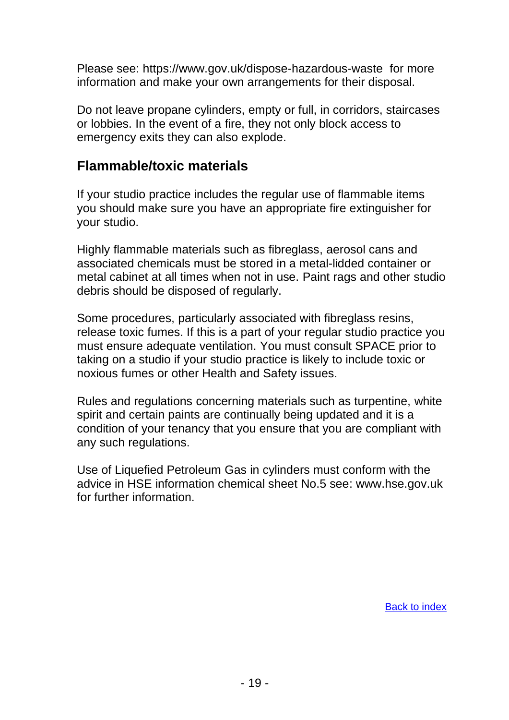Please see:<https://www.gov.uk/dispose-hazardous-waste> for more information and make your own arrangements for their disposal.

Do not leave propane cylinders, empty or full, in corridors, staircases or lobbies. In the event of a fire, they not only block access to emergency exits they can also explode.

## **Flammable/toxic materials**

If your studio practice includes the regular use of flammable items you should make sure you have an appropriate fire extinguisher for your studio.

Highly flammable materials such as fibreglass, aerosol cans and associated chemicals must be stored in a metal-lidded container or metal cabinet at all times when not in use. Paint rags and other studio debris should be disposed of regularly.

Some procedures, particularly associated with fibreglass resins, release toxic fumes. If this is a part of your regular studio practice you must ensure adequate ventilation. You must consult SPACE prior to taking on a studio if your studio practice is likely to include toxic or noxious fumes or other Health and Safety issues.

Rules and regulations concerning materials such as turpentine, white spirit and certain paints are continually being updated and it is a condition of your tenancy that you ensure that you are compliant with any such regulations.

Use of Liquefied Petroleum Gas in cylinders must conform with the advice in HSE information chemical sheet No.5 see: [www.hse.gov.uk](http://www.hse.gov.uk/) for further information.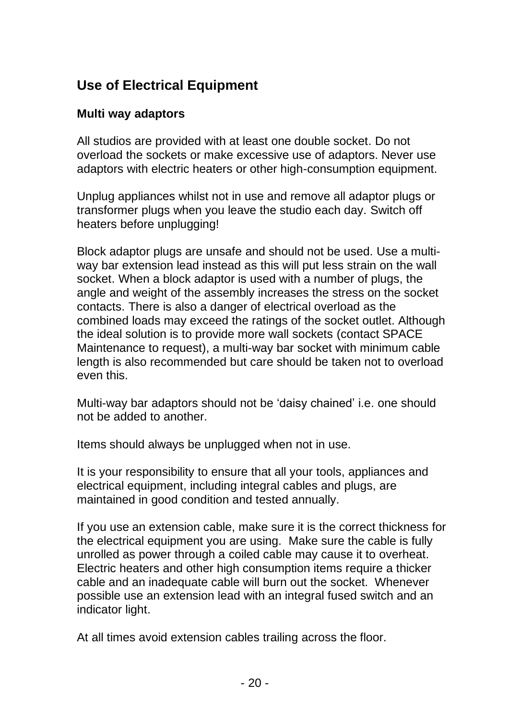# <span id="page-19-0"></span>**Use of Electrical Equipment**

## **Multi way adaptors**

All studios are provided with at least one double socket. Do not overload the sockets or make excessive use of adaptors. Never use adaptors with electric heaters or other high-consumption equipment.

Unplug appliances whilst not in use and remove all adaptor plugs or transformer plugs when you leave the studio each day. Switch off heaters before unplugging!

Block adaptor plugs are unsafe and should not be used. Use a multiway bar extension lead instead as this will put less strain on the wall socket. When a block adaptor is used with a number of plugs, the angle and weight of the assembly increases the stress on the socket contacts. There is also a danger of electrical overload as the combined loads may exceed the ratings of the socket outlet. Although the ideal solution is to provide more wall sockets (contact SPACE Maintenance to request), a multi-way bar socket with minimum cable length is also recommended but care should be taken not to overload even this.

Multi-way bar adaptors should not be 'daisy chained' i.e. one should not be added to another.

Items should always be unplugged when not in use.

It is your responsibility to ensure that all your tools, appliances and electrical equipment, including integral cables and plugs, are maintained in good condition and tested annually.

If you use an extension cable, make sure it is the correct thickness for the electrical equipment you are using. Make sure the cable is fully unrolled as power through a coiled cable may cause it to overheat. Electric heaters and other high consumption items require a thicker cable and an inadequate cable will burn out the socket. Whenever possible use an extension lead with an integral fused switch and an indicator light.

At all times avoid extension cables trailing across the floor.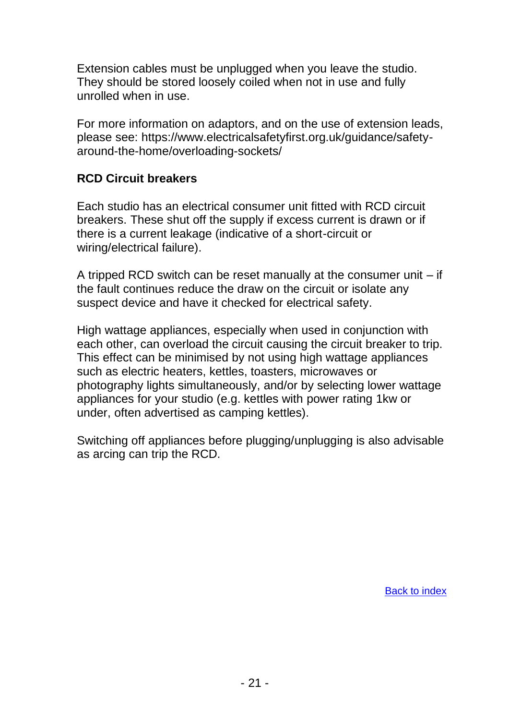Extension cables must be unplugged when you leave the studio. They should be stored loosely coiled when not in use and fully unrolled when in use.

For more information on adaptors, and on the use of extension leads, please see: [https://www.electricalsafetyfirst.org.uk/guidance/safety](https://www.electricalsafetyfirst.org.uk/guidance/safety-around-the-home/overloading-sockets/)[around-the-home/overloading-sockets/](https://www.electricalsafetyfirst.org.uk/guidance/safety-around-the-home/overloading-sockets/)

### <span id="page-20-0"></span>**RCD Circuit breakers**

Each studio has an electrical consumer unit fitted with RCD circuit breakers. These shut off the supply if excess current is drawn or if there is a current leakage (indicative of a short-circuit or wiring/electrical failure).

A tripped RCD switch can be reset manually at the consumer unit – if the fault continues reduce the draw on the circuit or isolate any suspect device and have it checked for electrical safety.

High wattage appliances, especially when used in conjunction with each other, can overload the circuit causing the circuit breaker to trip. This effect can be minimised by not using high wattage appliances such as electric heaters, kettles, toasters, microwaves or photography lights simultaneously, and/or by selecting lower wattage appliances for your studio (e.g. kettles with power rating 1kw or under, often advertised as camping kettles).

Switching off appliances before plugging/unplugging is also advisable as arcing can trip the RCD.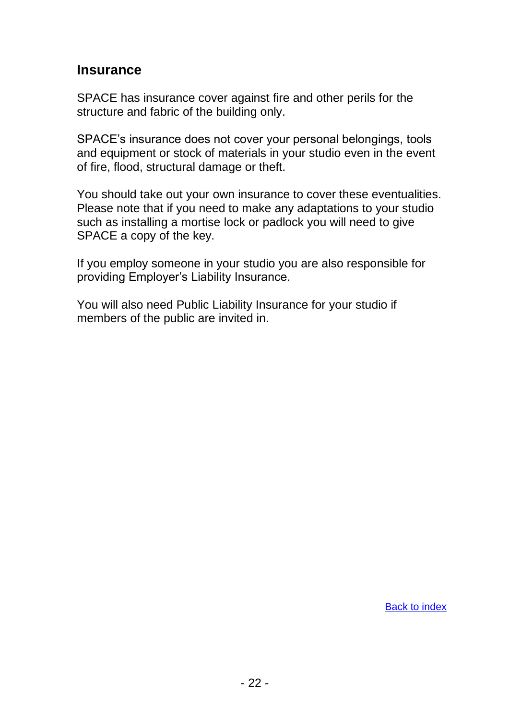## <span id="page-21-0"></span>**Insurance**

SPACE has insurance cover against fire and other perils for the structure and fabric of the building only.

SPACE's insurance does not cover your personal belongings, tools and equipment or stock of materials in your studio even in the event of fire, flood, structural damage or theft.

You should take out your own insurance to cover these eventualities. Please note that if you need to make any adaptations to your studio such as installing a mortise lock or padlock you will need to give SPACE a copy of the key.

If you employ someone in your studio you are also responsible for providing Employer's Liability Insurance.

You will also need Public Liability Insurance for your studio if members of the public are invited in.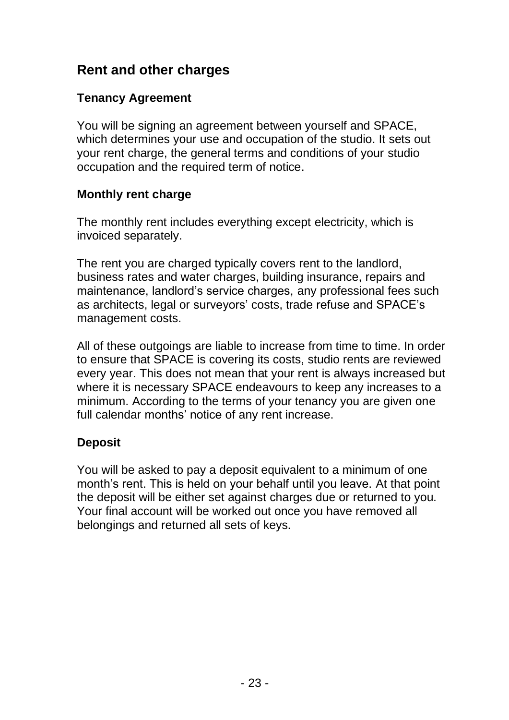## <span id="page-22-0"></span>**Rent and other charges**

## **Tenancy Agreement**

You will be signing an agreement between yourself and SPACE, which determines your use and occupation of the studio. It sets out your rent charge, the general terms and conditions of your studio occupation and the required term of notice.

## **Monthly rent charge**

The monthly rent includes everything except electricity, which is invoiced separately.

The rent you are charged typically covers rent to the landlord, business rates and water charges, building insurance, repairs and maintenance, landlord's service charges, any professional fees such as architects, legal or surveyors' costs, trade refuse and SPACE's management costs.

All of these outgoings are liable to increase from time to time. In order to ensure that SPACE is covering its costs, studio rents are reviewed every year. This does not mean that your rent is always increased but where it is necessary SPACE endeavours to keep any increases to a minimum. According to the terms of your tenancy you are given one full calendar months' notice of any rent increase.

## **Deposit**

You will be asked to pay a deposit equivalent to a minimum of one month's rent. This is held on your behalf until you leave. At that point the deposit will be either set against charges due or returned to you. Your final account will be worked out once you have removed all belongings and returned all sets of keys.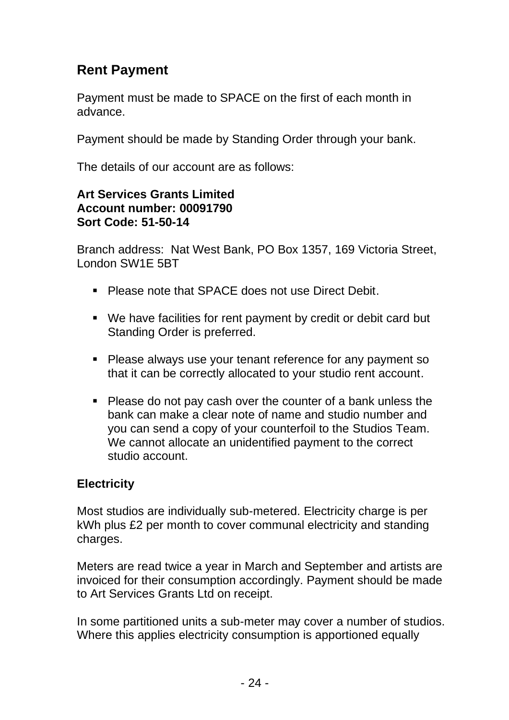# **Rent Payment**

Payment must be made to SPACE on the first of each month in advance.

Payment should be made by Standing Order through your bank.

The details of our account are as follows:

#### **Art Services Grants Limited Account number: 00091790 Sort Code: 51-50-14**

Branch address: Nat West Bank, PO Box 1357, 169 Victoria Street, London SW1E 5BT

- Please note that SPACE does not use Direct Debit.
- We have facilities for rent payment by credit or debit card but Standing Order is preferred.
- Please always use your tenant reference for any payment so that it can be correctly allocated to your studio rent account.
- Please do not pay cash over the counter of a bank unless the bank can make a clear note of name and studio number and you can send a copy of your counterfoil to the Studios Team. We cannot allocate an unidentified payment to the correct studio account.

#### **Electricity**

Most studios are individually sub-metered. Electricity charge is per kWh plus £2 per month to cover communal electricity and standing charges.

Meters are read twice a year in March and September and artists are invoiced for their consumption accordingly. Payment should be made to Art Services Grants Ltd on receipt.

In some partitioned units a sub-meter may cover a number of studios. Where this applies electricity consumption is apportioned equally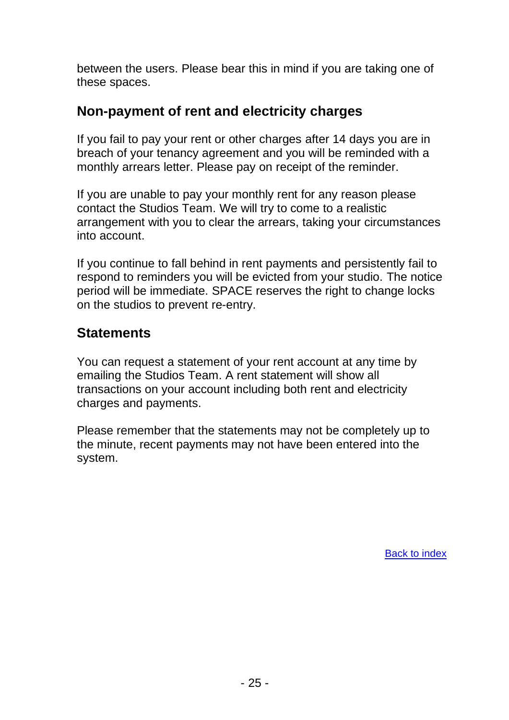between the users. Please bear this in mind if you are taking one of these spaces.

## **Non-payment of rent and electricity charges**

If you fail to pay your rent or other charges after 14 days you are in breach of your tenancy agreement and you will be reminded with a monthly arrears letter. Please pay on receipt of the reminder.

If you are unable to pay your monthly rent for any reason please contact the Studios Team. We will try to come to a realistic arrangement with you to clear the arrears, taking your circumstances into account.

If you continue to fall behind in rent payments and persistently fail to respond to reminders you will be evicted from your studio. The notice period will be immediate. SPACE reserves the right to change locks on the studios to prevent re-entry.

## **Statements**

You can request a statement of your rent account at any time by emailing the Studios Team. A rent statement will show all transactions on your account including both rent and electricity charges and payments.

Please remember that the statements may not be completely up to the minute, recent payments may not have been entered into the system.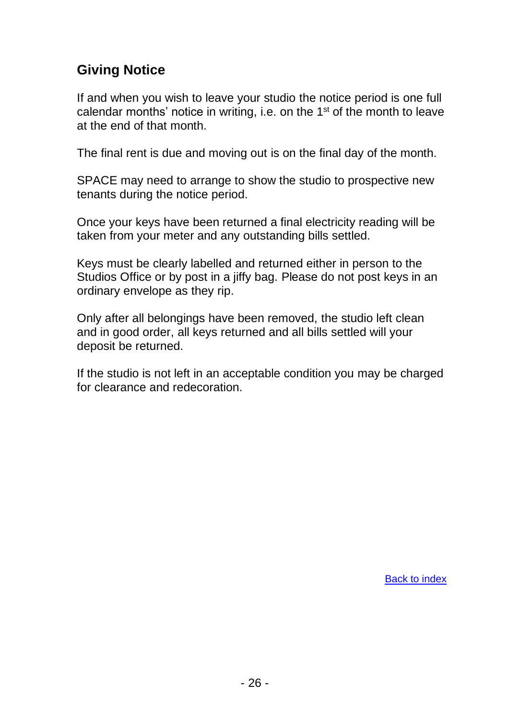# <span id="page-25-0"></span>**Giving Notice**

If and when you wish to leave your studio the notice period is one full calendar months' notice in writing, i.e. on the 1<sup>st</sup> of the month to leave at the end of that month.

The final rent is due and moving out is on the final day of the month.

SPACE may need to arrange to show the studio to prospective new tenants during the notice period.

Once your keys have been returned a final electricity reading will be taken from your meter and any outstanding bills settled.

Keys must be clearly labelled and returned either in person to the Studios Office or by post in a jiffy bag. Please do not post keys in an ordinary envelope as they rip.

Only after all belongings have been removed, the studio left clean and in good order, all keys returned and all bills settled will your deposit be returned.

If the studio is not left in an acceptable condition you may be charged for clearance and redecoration.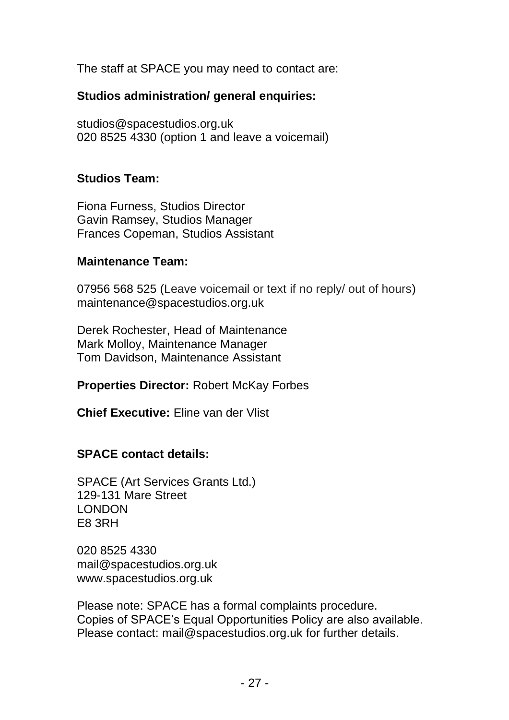<span id="page-26-0"></span>The staff at SPACE you may need to contact are:

#### **Studios administration/ general enquiries:**

[studios@spacestudios.org.uk](mailto:studios@spacestudios.org.uk) 020 8525 4330 (option 1 and leave a voicemail)

#### **Studios Team:**

Fiona Furness, Studios Director Gavin Ramsey, Studios Manager Frances Copeman, Studios Assistant

#### **Maintenance Team:**

07956 568 525 (Leave voicemail or text if no reply/ out of hours) [maintenance@spacestudios.org.uk](mailto:maintenance@spacestudios.org.uk)

Derek Rochester, Head of Maintenance Mark Molloy, Maintenance Manager Tom Davidson, Maintenance Assistant

**Properties Director:** Robert McKay Forbes

**Chief Executive:** Eline van der Vlist

## **SPACE contact details:**

SPACE (Art Services Grants Ltd.) 129-131 Mare Street LONDON E8 3RH

020 8525 4330 [mail@spacestudios.org.uk](mailto:mail@spacestudios.org.uk) [www.spacestudios.org.uk](http://www.spacestudios.org.uk/)

Please note: SPACE has a formal complaints procedure. Copies of SPACE's Equal Opportunities Policy are also available. Please contact: [mail@spacestudios.org.uk](mailto:mail@spacestudios.org.uk) for further details.